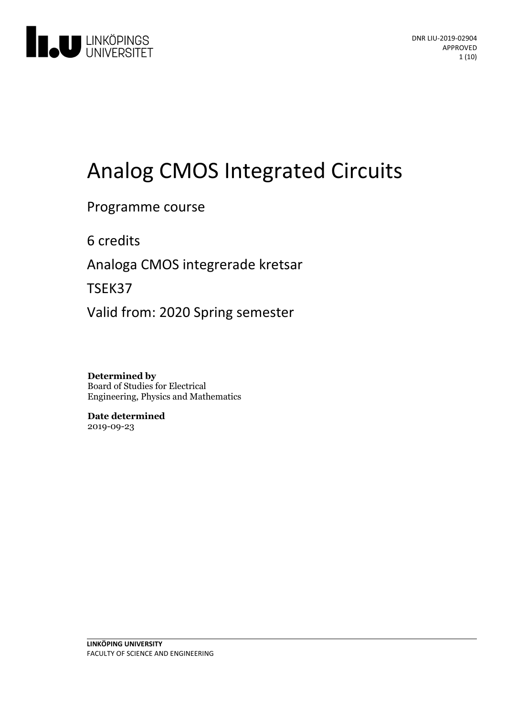

# Analog CMOS Integrated Circuits

### Programme course

6 credits

Analoga CMOS integrerade kretsar

TSEK37

Valid from: 2020 Spring semester

**Determined by** Board of Studies for Electrical Engineering, Physics and Mathematics

**Date determined** 2019-09-23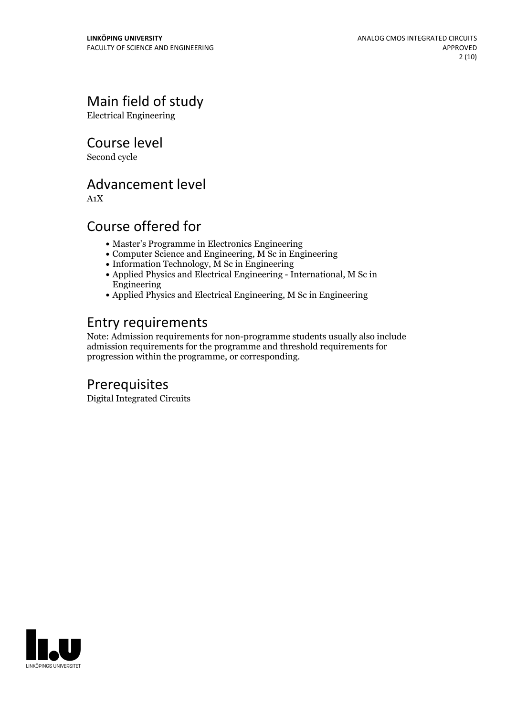# Main field of study

Electrical Engineering

Course level

Second cycle

### Advancement level

A1X

## Course offered for

- Master's Programme in Electronics Engineering
- Computer Science and Engineering, M Sc in Engineering
- $\bullet$  Information Technology, M Sc in Engineering
- Applied Physics and Electrical Engineering International, M Sc in Engineering
- Applied Physics and Electrical Engineering, M Sc in Engineering

# Entry requirements

Note: Admission requirements for non-programme students usually also include admission requirements for the programme and threshold requirements for progression within the programme, or corresponding.

# Prerequisites

Digital Integrated Circuits

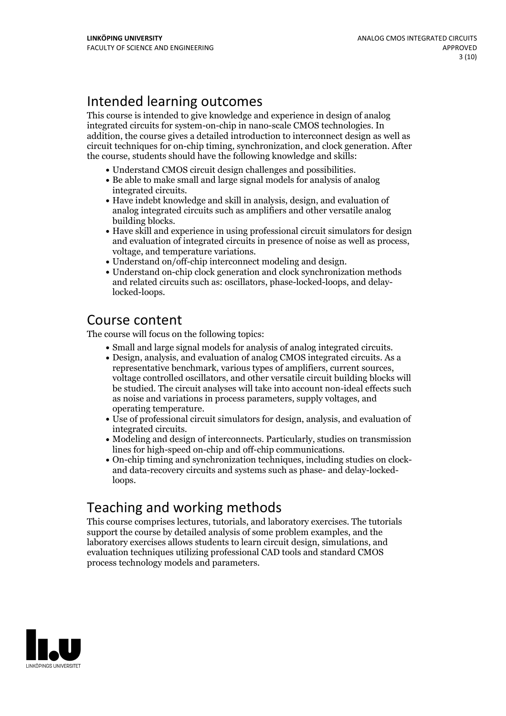# Intended learning outcomes

This course is intended to give knowledge and experience in design of analog integrated circuits for system-on-chip in nano-scale CMOS technologies. In addition, the course gives a detailed introduction to interconnect design aswell as circuit techniques for on-chip timing, synchronization, and clock generation. After the course, students should have the following knowledge and skills:

- 
- Understand CMOS circuit design challenges and possibilities. Be able to make small and large signal models for analysis of analog integrated circuits.<br>• Have indebt knowledge and skill in analysis, design, and evaluation of
- analog integrated circuits such as amplifiers and other versatile analog building blocks.<br>• Have skill and experience in using professional circuit simulators for design
- and evaluation of integrated circuits in presence of noise as well as process,<br>voltage, and temperature variations.<br>• Understand on/off-chip interconnect modeling and design.<br>• Understand on-chip clock generation and clock
- 
- and related circuits such as: oscillators, phase-locked-loops, and delaylocked-loops.

### Course content

The course will focus on the following topics:

- 
- Small and large signal models for analysis of analog integrated circuits. Design, analysis, and evaluation of analog CMOS integrated circuits. As <sup>a</sup> voltage controlled oscillators, and other versatile circuit building blocks will be studied. The circuit analyses will take into account non-ideal effects such as noise and variations in process parameters, supply voltages, and
- operating temperature.<br>• Use of professional circuit simulators for design, analysis, and evaluation of integrated circuits.<br>• Modeling and design of interconnects. Particularly, studies on transmission
- 
- Ilines for high-speed on-chip and off-chip communications.<br>
 On-chip timing and synchronization techniques, including studies on clock-<br>
and data-recovery circuits and systems such as phase- and delay-lockedloops.

# Teaching and working methods

This course comprises lectures, tutorials, and laboratory exercises. The tutorials support the course by detailed analysis of some problem examples, and the laboratory exercises allows students to learn circuit design, simulations, and evaluation techniques utilizing professional CAD toolsand standard CMOS process technology models and parameters.

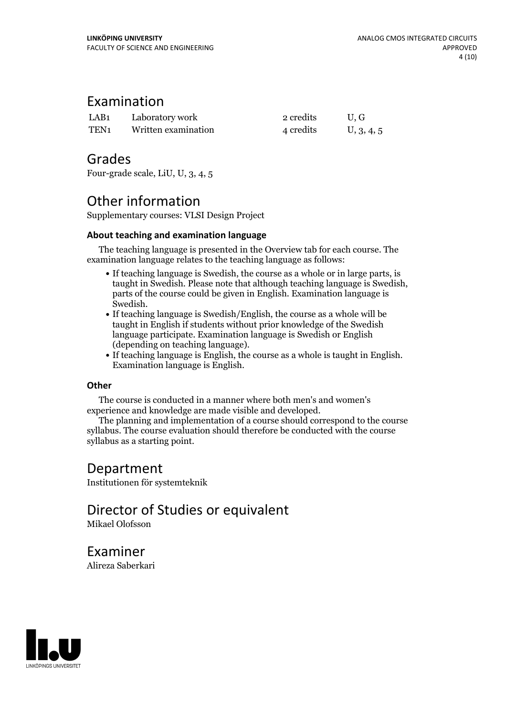### Examination

| LAB1 | Laboratory work     | 2 credits | U.G        |
|------|---------------------|-----------|------------|
| TEN1 | Written examination | 4 credits | U, 3, 4, 5 |

### Grades

Four-grade scale, LiU, U, 3, 4, 5

## Other information

Supplementary courses: VLSI Design Project

### **About teaching and examination language**

The teaching language is presented in the Overview tab for each course. The examination language relates to the teaching language as follows:

- If teaching language is Swedish, the course as a whole or in large parts, is taught in Swedish. Please note that although teaching language is Swedish, parts of the course could be given in English. Examination language is Swedish.<br>• If teaching language is Swedish/English, the course as a whole will be
- taught in English if students without prior knowledge of the Swedish language participate. Examination language is Swedish or English
- (depending on teaching language).<br>• If teaching language is English, the course as a whole is taught in English.<br>Examination language is English.

### **Other**

The course is conducted in a manner where both men's and women's

experience and knowledge are made visible and developed. The planning and implementation of <sup>a</sup> course should correspond to the course syllabus. The course evaluation should therefore be conducted with the course syllabus as a starting point.

### Department

Institutionen för systemteknik

# Director of Studies or equivalent

Mikael Olofsson

Examiner Alireza Saberkari

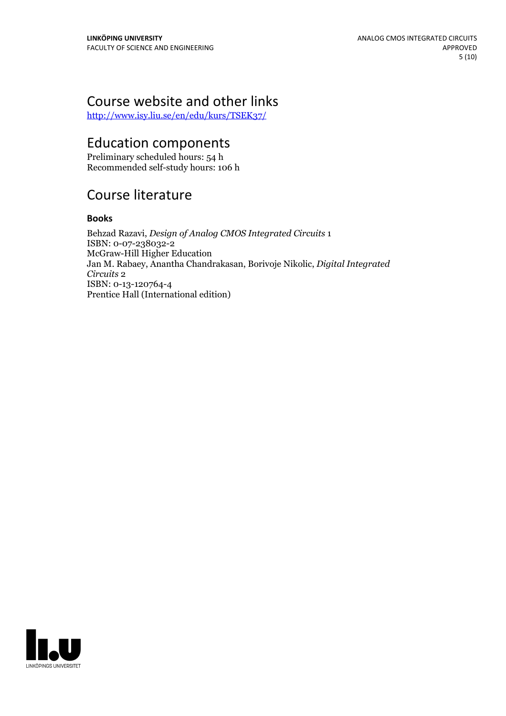# Course website and other links

<http://www.isy.liu.se/en/edu/kurs/TSEK37/>

### Education components

Preliminary scheduled hours: 54 h Recommended self-study hours: 106 h

# Course literature

### **Books**

Behzad Razavi, *Design of Analog CMOS Integrated Circuits* 1 ISBN: 0-07-238032-2 McGraw-Hill Higher Education Jan M. Rabaey, Anantha Chandrakasan, Borivoje Nikolic, *Digital Integrated Circuits* 2 ISBN: 0-13-120764-4 Prentice Hall (International edition)

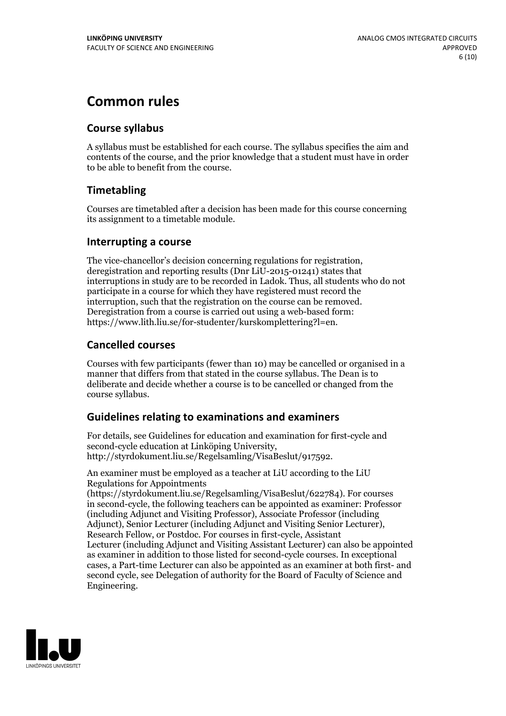# **Common rules**

### **Course syllabus**

A syllabus must be established for each course. The syllabus specifies the aim and contents of the course, and the prior knowledge that a student must have in order to be able to benefit from the course.

### **Timetabling**

Courses are timetabled after a decision has been made for this course concerning its assignment to a timetable module.

### **Interrupting a course**

The vice-chancellor's decision concerning regulations for registration, deregistration and reporting results (Dnr LiU-2015-01241) states that interruptions in study are to be recorded in Ladok. Thus, all students who do not participate in a course for which they have registered must record the interruption, such that the registration on the course can be removed. Deregistration from <sup>a</sup> course is carried outusing <sup>a</sup> web-based form: https://www.lith.liu.se/for-studenter/kurskomplettering?l=en.

### **Cancelled courses**

Courses with few participants (fewer than 10) may be cancelled or organised in a manner that differs from that stated in the course syllabus. The Dean is to deliberate and decide whether a course is to be cancelled or changed from the course syllabus.

### **Guidelines relatingto examinations and examiners**

For details, see Guidelines for education and examination for first-cycle and second-cycle education at Linköping University, http://styrdokument.liu.se/Regelsamling/VisaBeslut/917592.

An examiner must be employed as a teacher at LiU according to the LiU Regulations for Appointments

(https://styrdokument.liu.se/Regelsamling/VisaBeslut/622784). For courses in second-cycle, the following teachers can be appointed as examiner: Professor (including Adjunct and Visiting Professor), Associate Professor (including Adjunct), Senior Lecturer (including Adjunct and Visiting Senior Lecturer), Research Fellow, or Postdoc. For courses in first-cycle, Assistant Lecturer (including Adjunct and Visiting Assistant Lecturer) can also be appointed as examiner in addition to those listed for second-cycle courses. In exceptional cases, a Part-time Lecturer can also be appointed as an examiner at both first- and second cycle, see Delegation of authority for the Board of Faculty of Science and Engineering.

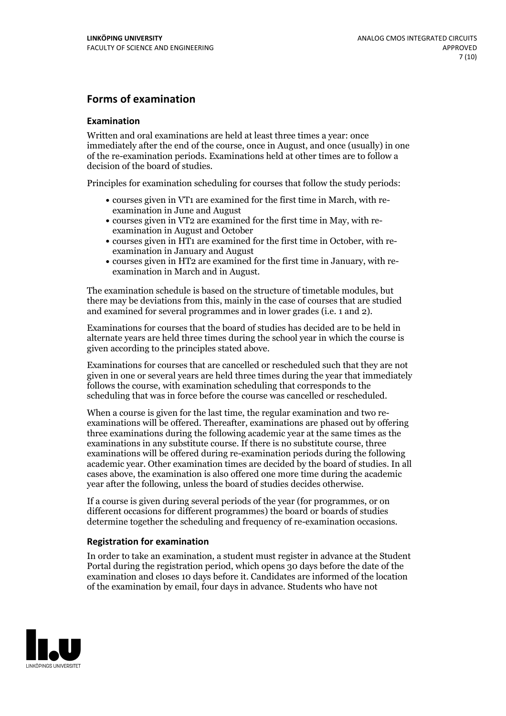### **Forms of examination**

#### **Examination**

Written and oral examinations are held at least three times a year: once immediately after the end of the course, once in August, and once (usually) in one of the re-examination periods. Examinations held at other times are to follow a decision of the board of studies.

Principles for examination scheduling for courses that follow the study periods:

- courses given in VT1 are examined for the first time in March, with re-examination in June and August
- courses given in VT2 are examined for the first time in May, with re-examination in August and October
- courses given in HT1 are examined for the first time in October, with re-examination in January and August
- courses given in HT2 are examined for the first time in January, with re-examination in March and in August.

The examination schedule is based on the structure of timetable modules, but there may be deviations from this, mainly in the case of courses that are studied and examined for several programmes and in lower grades (i.e. 1 and 2).

Examinations for courses that the board of studies has decided are to be held in alternate years are held three times during the school year in which the course is given according to the principles stated above.

Examinations for courses that are cancelled orrescheduled such that they are not given in one or several years are held three times during the year that immediately follows the course, with examination scheduling that corresponds to the scheduling that was in force before the course was cancelled or rescheduled.

When a course is given for the last time, the regular examination and two re-<br>examinations will be offered. Thereafter, examinations are phased out by offering three examinations during the following academic year at the same times as the examinations in any substitute course. If there is no substitute course, three examinations will be offered during re-examination periods during the following academic year. Other examination times are decided by the board of studies. In all cases above, the examination is also offered one more time during the academic year after the following, unless the board of studies decides otherwise.

If a course is given during several periods of the year (for programmes, or on different occasions for different programmes) the board or boards of studies determine together the scheduling and frequency of re-examination occasions.

#### **Registration for examination**

In order to take an examination, a student must register in advance at the Student Portal during the registration period, which opens 30 days before the date of the examination and closes 10 days before it. Candidates are informed of the location of the examination by email, four days in advance. Students who have not

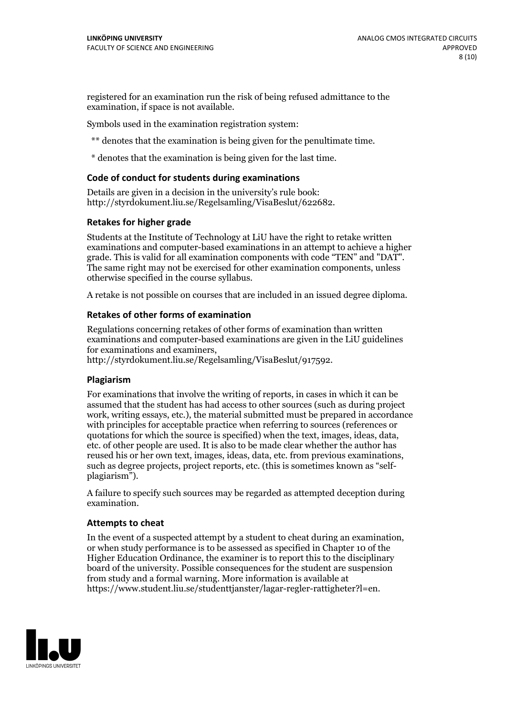registered for an examination run the risk of being refused admittance to the examination, if space is not available.

Symbols used in the examination registration system:

\*\* denotes that the examination is being given for the penultimate time.

\* denotes that the examination is being given for the last time.

#### **Code of conduct for students during examinations**

Details are given in a decision in the university's rule book: http://styrdokument.liu.se/Regelsamling/VisaBeslut/622682.

#### **Retakes for higher grade**

Students at the Institute of Technology at LiU have the right to retake written examinations and computer-based examinations in an attempt to achieve a higher grade. This is valid for all examination components with code "TEN" and "DAT". The same right may not be exercised for other examination components, unless otherwise specified in the course syllabus.

A retake is not possible on courses that are included in an issued degree diploma.

#### **Retakes of other forms of examination**

Regulations concerning retakes of other forms of examination than written examinations and computer-based examinations are given in the LiU guidelines

http://styrdokument.liu.se/Regelsamling/VisaBeslut/917592.

#### **Plagiarism**

For examinations that involve the writing of reports, in cases in which it can be assumed that the student has had access to other sources (such as during project work, writing essays, etc.), the material submitted must be prepared in accordance with principles for acceptable practice when referring to sources (references or quotations for which the source is specified) when the text, images, ideas, data,  $\vec{e}$  etc. of other people are used. It is also to be made clear whether the author has reused his or her own text, images, ideas, data, etc. from previous examinations, such as degree projects, project reports, etc. (this is sometimes known as "self- plagiarism").

A failure to specify such sources may be regarded as attempted deception during examination.

#### **Attempts to cheat**

In the event of <sup>a</sup> suspected attempt by <sup>a</sup> student to cheat during an examination, or when study performance is to be assessed as specified in Chapter <sup>10</sup> of the Higher Education Ordinance, the examiner is to report this to the disciplinary board of the university. Possible consequences for the student are suspension from study and a formal warning. More information is available at https://www.student.liu.se/studenttjanster/lagar-regler-rattigheter?l=en.

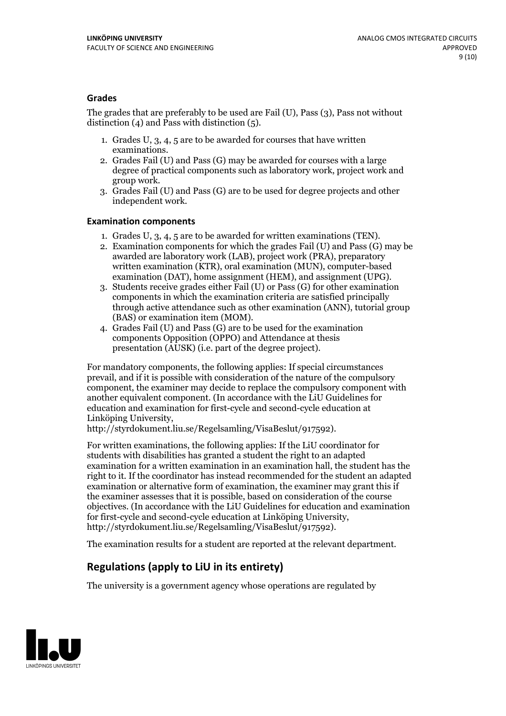### **Grades**

The grades that are preferably to be used are Fail (U), Pass (3), Pass not without distinction  $(4)$  and Pass with distinction  $(5)$ .

- 1. Grades U, 3, 4, 5 are to be awarded for courses that have written
- examinations. 2. Grades Fail (U) and Pass (G) may be awarded for courses with <sup>a</sup> large degree of practical components such as laboratory work, project work and group work. 3. Grades Fail (U) and Pass (G) are to be used for degree projects and other
- independent work.

#### **Examination components**

- 
- 1. Grades U, 3, 4, <sup>5</sup> are to be awarded for written examinations (TEN). 2. Examination components for which the grades Fail (U) and Pass (G) may be awarded are laboratory work (LAB), project work (PRA), preparatory written examination (KTR), oral examination (MUN), computer-based
- examination (DAT), home assignment (HEM), and assignment (UPG). 3. Students receive grades either Fail (U) or Pass (G) for other examination components in which the examination criteria are satisfied principally through active attendance such as other examination (ANN), tutorial group
- (BAS) or examination item (MOM). 4. Grades Fail (U) and Pass (G) are to be used for the examination components Opposition (OPPO) and Attendance at thesis presentation (AUSK) (i.e. part of the degree project).

For mandatory components, the following applies: If special circumstances prevail, and if it is possible with consideration of the nature of the compulsory component, the examiner may decide to replace the compulsory component with another equivalent component. (In accordance with the LiU Guidelines for education and examination for first-cycle and second-cycle education at Linköping University, http://styrdokument.liu.se/Regelsamling/VisaBeslut/917592).

For written examinations, the following applies: If the LiU coordinator for students with disabilities has granted a student the right to an adapted examination for a written examination in an examination hall, the student has the right to it. If the coordinator has instead recommended for the student an adapted examination or alternative form of examination, the examiner may grant this if the examiner assesses that it is possible, based on consideration of the course objectives. (In accordance with the LiU Guidelines for education and examination for first-cycle and second-cycle education at Linköping University, http://styrdokument.liu.se/Regelsamling/VisaBeslut/917592).

The examination results for a student are reported at the relevant department.

### **Regulations (applyto LiU in its entirety)**

The university is a government agency whose operations are regulated by